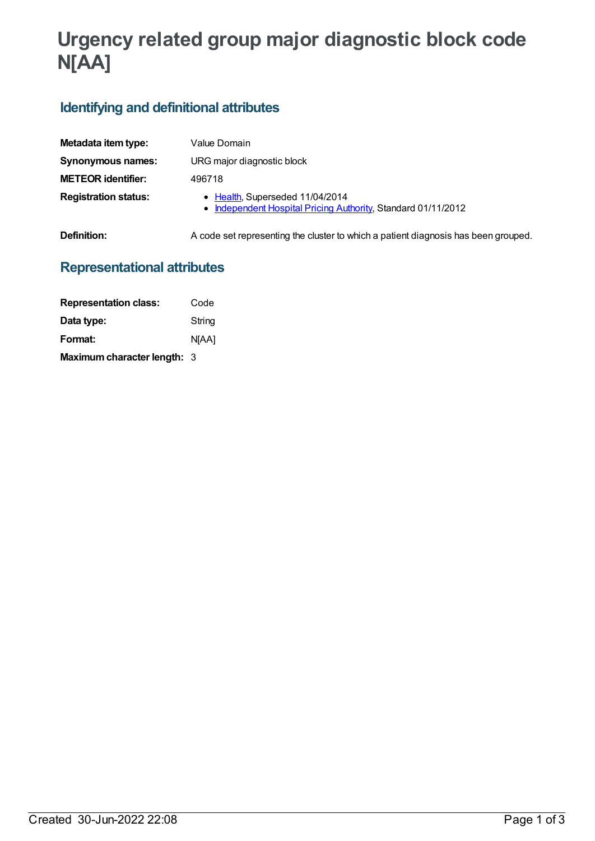# **Urgency related group major diagnostic block code N[AA]**

## **Identifying and definitional attributes**

| Metadata item type:         | Value Domain                                                                                     |
|-----------------------------|--------------------------------------------------------------------------------------------------|
| Synonymous names:           | URG major diagnostic block                                                                       |
| <b>METEOR identifier:</b>   | 496718                                                                                           |
| <b>Registration status:</b> | • Health, Superseded 11/04/2014<br>• Independent Hospital Pricing Authority, Standard 01/11/2012 |
| Definition:                 | A code set representing the cluster to which a patient diagnosis has been grouped.               |

## **Representational attributes**

| <b>Representation class:</b> | Code   |
|------------------------------|--------|
| Data type:                   | String |
| Format:                      | N[AA]  |
| Maximum character length: 3  |        |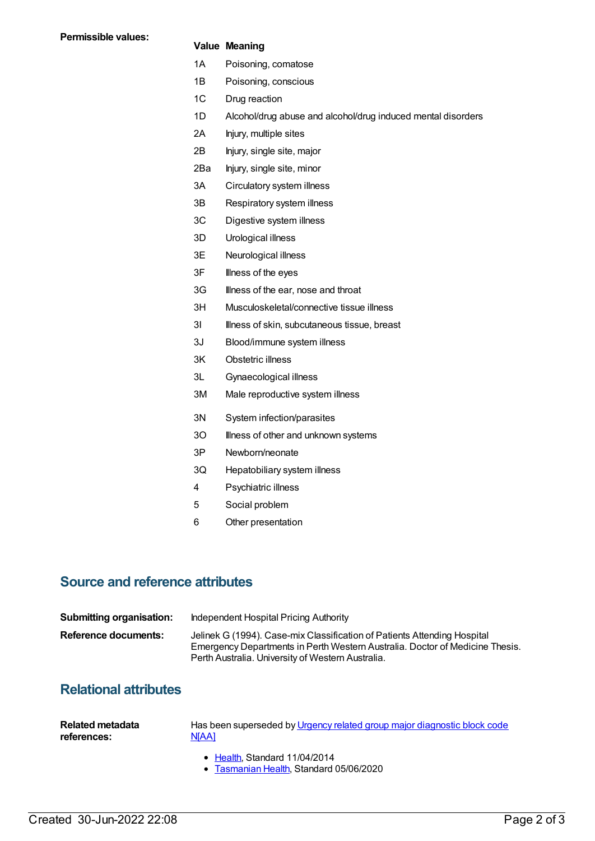#### **Value Meaning**

- 1A Poisoning, comatose
- 1B Poisoning, conscious
- 1C Drug reaction
- 1D Alcohol/drug abuse and alcohol/drug induced mental disorders
- 2A Injury, multiple sites
- 2B Injury, single site, major
- 2Ba Injury, single site, minor
- 3A Circulatory system illness
- 3B Respiratory system illness
- 3C Digestive system illness
- 3D Urological illness
- 3E Neurological illness
- 3F Illness of the eyes
- 3G Illness of the ear, nose and throat
- 3H Musculoskeletal/connective tissue illness
- 3I Illness of skin, subcutaneous tissue, breast
- 3J Blood/immune system illness
- 3K Obstetric illness
- 3L Gynaecological illness
- 3M Male reproductive system illness
- 3N System infection/parasites
- 30 **Illness of other and unknown systems**
- 3P Newborn/neonate
- 3Q Hepatobiliary system illness
- 4 Psychiatric illness
- 5 Social problem
- 6 Other presentation

### **Source and reference attributes**

| <b>Submitting organisation:</b> | Independent Hospital Pricing Authority                                                                                                                                                                        |
|---------------------------------|---------------------------------------------------------------------------------------------------------------------------------------------------------------------------------------------------------------|
| Reference documents:            | Jelinek G (1994). Case-mix Classification of Patients Attending Hospital<br>Emergency Departments in Perth Western Australia. Doctor of Medicine Thesis.<br>Perth Australia. University of Western Australia. |

## **Relational attributes**

| Related metadata | Has been superseded by Urgency related group major diagnostic block code |
|------------------|--------------------------------------------------------------------------|
| references:      | NJAA1                                                                    |
|                  |                                                                          |

- [Health](https://meteor.aihw.gov.au/RegistrationAuthority/12), Standard 11/04/2014
- [Tasmanian](https://meteor.aihw.gov.au/RegistrationAuthority/15) Health, Standard 05/06/2020  $\bullet$